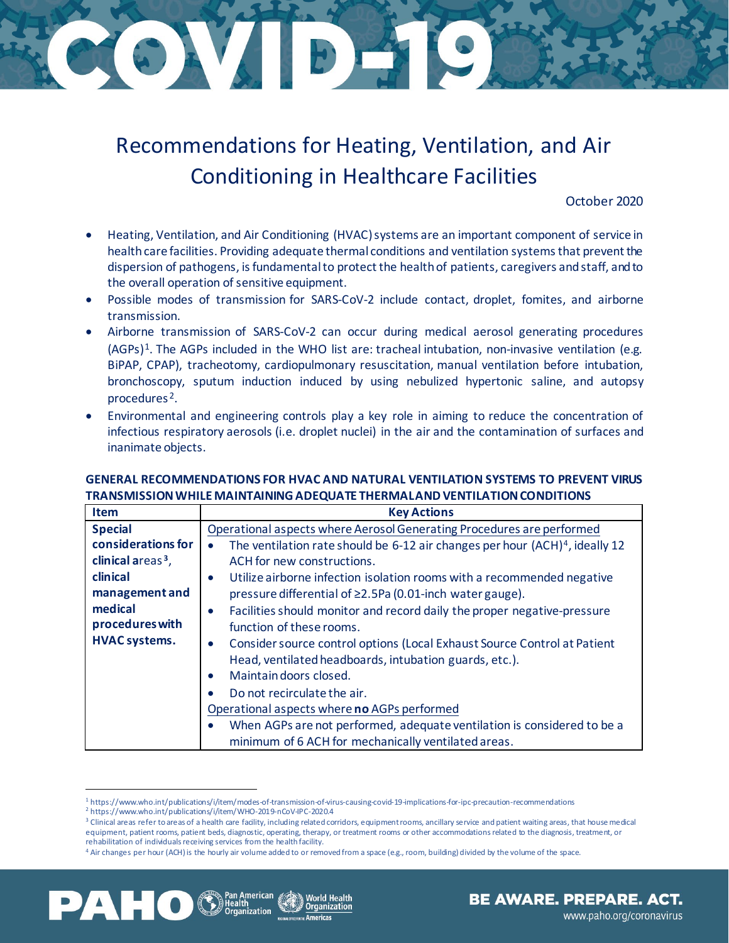## GAV BEX

## Recommendations for Heating, Ventilation, and Air Conditioning in Healthcare Facilities

October 2020

- Heating, Ventilation, and Air Conditioning (HVAC) systems are an important component of service in health care facilities. Providing adequate thermal conditions and ventilation systems that prevent the dispersion of pathogens, is fundamental to protect the health of patients, caregivers and staff, and to the overall operation of sensitive equipment.
- Possible modes of transmission for SARS-CoV-2 include contact, droplet, fomites, and airborne transmission.
- Airborne transmission of SARS-CoV-2 can occur during medical aerosol generating procedures  $(AGPs)^1$ . The AGPs included in the WHO list are: tracheal intubation, non-invasive ventilation (e.g. BiPAP, CPAP), tracheotomy, cardiopulmonary resuscitation, manual ventilation before intubation, bronchoscopy, sputum induction induced by using nebulized hypertonic saline, and autopsy procedures [2](#page-0-1).
- Environmental and engineering controls play a key role in aiming to reduce the concentration of infectious respiratory aerosols (i.e. droplet nuclei) in the air and the contamination of surfaces and inanimate objects.

## **GENERAL RECOMMENDATIONS FOR HVAC AND NATURAL VENTILATION SYSTEMS TO PREVENT VIRUS TRANSMISSION WHILE MAINTAINING ADEQUATE THERMAL AND VENTILATION CONDITIONS**

| <b>Item</b>                   | <b>Key Actions</b>                                                                       |
|-------------------------------|------------------------------------------------------------------------------------------|
| <b>Special</b>                | Operational aspects where Aerosol Generating Procedures are performed                    |
| considerations for            | The ventilation rate should be 6-12 air changes per hour (ACH) <sup>4</sup> , ideally 12 |
| clinical areas <sup>3</sup> , | ACH for new constructions.                                                               |
| clinical                      | Utilize airborne infection isolation rooms with a recommended negative<br>$\bullet$      |
| management and                | pressure differential of ≥2.5Pa (0.01-inch water gauge).                                 |
| medical                       | Facilities should monitor and record daily the proper negative-pressure<br>$\bullet$     |
| procedures with               | function of these rooms.                                                                 |
| <b>HVAC</b> systems.          | Consider source control options (Local Exhaust Source Control at Patient<br>$\bullet$    |
|                               | Head, ventilated headboards, intubation guards, etc.).                                   |
|                               | Maintain doors closed.<br>$\bullet$                                                      |
|                               | Do not recirculate the air.                                                              |
|                               | Operational aspects where no AGPs performed                                              |
|                               | When AGPs are not performed, adequate ventilation is considered to be a                  |
|                               | minimum of 6 ACH for mechanically ventilated areas.                                      |
|                               |                                                                                          |

<sup>&</sup>lt;sup>1</sup> <https://www.who.int/publications/i/item/modes-of-transmission-of-virus-causing-covid-19-implications-for-ipc-precaution-recommendations>

<span id="page-0-3"></span><span id="page-0-2"></span><span id="page-0-1"></span><span id="page-0-0"></span><sup>4</sup> Air changes per hour (ACH) is the hourly air volume added to or removed from a space (e.g., room, building) divided by the volume of the space.





<sup>2</sup> <https://www.who.int/publications/i/item/WHO-2019-nCoV-IPC-2020.4>

<sup>&</sup>lt;sup>3</sup> Clinical areas refer to areas of a health care facility, including related corridors, equipment rooms, ancillary service and patient waiting areas, that house medical equipment, patient rooms, patient beds, diagnostic, operating, therapy, or treatment rooms or other accommodations related to the diagnosis, treatment, or rehabilitation of individuals receiving services from the health facility.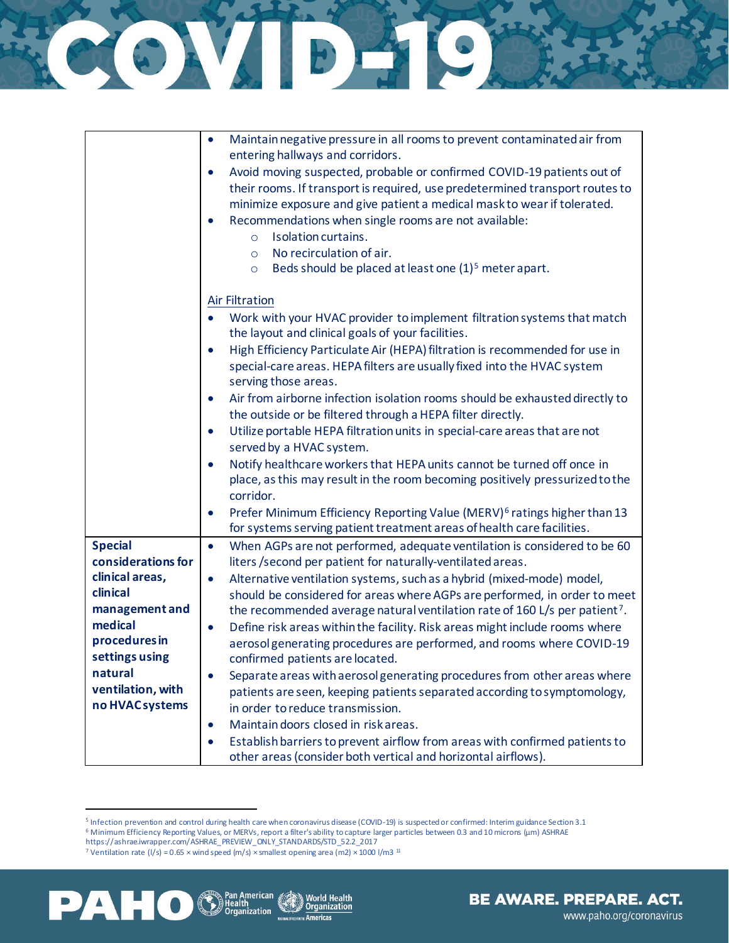|                                            | Maintain negative pressure in all rooms to prevent contaminated air from<br>$\bullet$<br>entering hallways and corridors.                                                                                                                                                                                                                                                                                                                                                   |
|--------------------------------------------|-----------------------------------------------------------------------------------------------------------------------------------------------------------------------------------------------------------------------------------------------------------------------------------------------------------------------------------------------------------------------------------------------------------------------------------------------------------------------------|
|                                            | Avoid moving suspected, probable or confirmed COVID-19 patients out of<br>$\bullet$<br>their rooms. If transport is required, use predetermined transport routes to<br>minimize exposure and give patient a medical mask to wear if tolerated.<br>Recommendations when single rooms are not available:<br>$\bullet$<br>Isolation curtains.<br>$\circ$<br>No recirculation of air.<br>$\circ$<br>Beds should be placed at least one (1) <sup>5</sup> meter apart.<br>$\circ$ |
|                                            | <b>Air Filtration</b><br>Work with your HVAC provider to implement filtration systems that match<br>$\bullet$<br>the layout and clinical goals of your facilities.                                                                                                                                                                                                                                                                                                          |
|                                            | High Efficiency Particulate Air (HEPA) filtration is recommended for use in<br>$\bullet$<br>special-care areas. HEPA filters are usually fixed into the HVAC system<br>serving those areas.                                                                                                                                                                                                                                                                                 |
|                                            | Air from airborne infection isolation rooms should be exhausted directly to<br>$\bullet$<br>the outside or be filtered through a HEPA filter directly.                                                                                                                                                                                                                                                                                                                      |
|                                            | Utilize portable HEPA filtration units in special-care areas that are not<br>$\bullet$<br>served by a HVAC system.                                                                                                                                                                                                                                                                                                                                                          |
|                                            | Notify healthcare workers that HEPA units cannot be turned off once in<br>$\bullet$<br>place, as this may result in the room becoming positively pressurized to the<br>corridor.                                                                                                                                                                                                                                                                                            |
|                                            | Prefer Minimum Efficiency Reporting Value (MERV) <sup>6</sup> ratings higher than 13<br>$\bullet$<br>for systems serving patient treatment areas of health care facilities.                                                                                                                                                                                                                                                                                                 |
| <b>Special</b><br>considerations for       | When AGPs are not performed, adequate ventilation is considered to be 60<br>$\bullet$<br>liters /second per patient for naturally-ventilated areas.                                                                                                                                                                                                                                                                                                                         |
| clinical areas,<br>clinical                | Alternative ventilation systems, such as a hybrid (mixed-mode) model,<br>$\bullet$<br>should be considered for areas where AGPs are performed, in order to meet                                                                                                                                                                                                                                                                                                             |
| management and<br>medical<br>procedures in | the recommended average natural ventilation rate of 160 L/s per patient <sup>7</sup> .<br>Define risk areas within the facility. Risk areas might include rooms where<br>$\bullet$                                                                                                                                                                                                                                                                                          |
| settings using<br>natural                  | aerosol generating procedures are performed, and rooms where COVID-19<br>confirmed patients are located.                                                                                                                                                                                                                                                                                                                                                                    |
| ventilation, with<br>no HVAC systems       | Separate areas with aerosol generating procedures from other areas where<br>$\bullet$<br>patients are seen, keeping patients separated according to symptomology,                                                                                                                                                                                                                                                                                                           |
|                                            | in order to reduce transmission.<br>Maintain doors closed in risk areas.<br>$\bullet$                                                                                                                                                                                                                                                                                                                                                                                       |
|                                            | Establish barriers to prevent airflow from areas with confirmed patients to                                                                                                                                                                                                                                                                                                                                                                                                 |

HONDAD

World Health **Organization** 

**Americas** 

other areas (consider both vertical and horizontal airflows).

merican

*rganization* 

<span id="page-1-1"></span><span id="page-1-0"></span>

<span id="page-1-2"></span>PAH0

<sup>5</sup> Infection prevention and control during health care when coronavirus disease (COVID-19) is suspected or confirmed: Interim guidance Section 3.1 <sup>6</sup> Minimum Efficiency Reporting Values, or MERVs, report a filter's ability to capture larger particles between 0.3 and 10 microns (µm) ASHRAE

https://ashrae.iwrapper.com/ASHRAE\_PREVIEW\_ONLY\_STANDARDS/STD\_52.2\_2017

<sup>&</sup>lt;sup>7</sup> Ventilation rate (I/s) = 0.65 × wind speed (m/s) × smallest opening area (m2) × 1000 l/m3<sup>11</sup>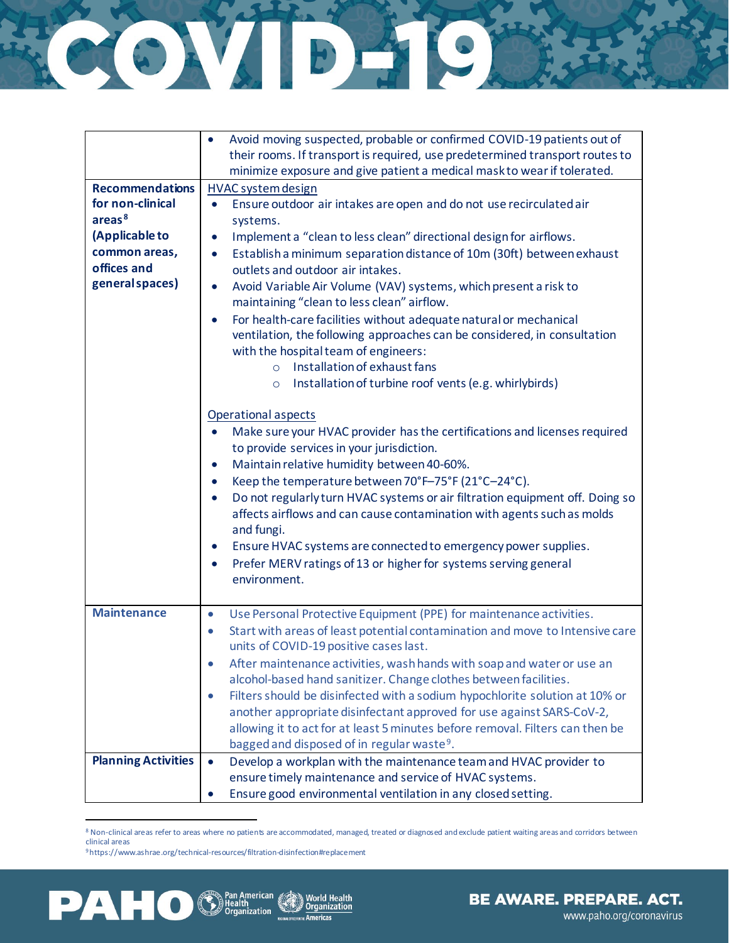## HARRY AND HARRY

|                                            | Avoid moving suspected, probable or confirmed COVID-19 patients out of                                                      |  |  |  |
|--------------------------------------------|-----------------------------------------------------------------------------------------------------------------------------|--|--|--|
|                                            | their rooms. If transport is required, use predetermined transport routes to                                                |  |  |  |
|                                            | minimize exposure and give patient a medical mask to wear if tolerated.                                                     |  |  |  |
| <b>Recommendations</b><br>for non-clinical | <b>HVAC system design</b>                                                                                                   |  |  |  |
| areas <sup>8</sup>                         | Ensure outdoor air intakes are open and do not use recirculated air<br>$\bullet$                                            |  |  |  |
|                                            | systems.                                                                                                                    |  |  |  |
| (Applicable to                             | Implement a "clean to less clean" directional design for airflows.<br>$\bullet$                                             |  |  |  |
| common areas,<br>offices and               | Establish a minimum separation distance of 10m (30ft) between exhaust<br>$\bullet$<br>outlets and outdoor air intakes.      |  |  |  |
| general spaces)                            |                                                                                                                             |  |  |  |
|                                            | Avoid Variable Air Volume (VAV) systems, which present a risk to<br>$\bullet$<br>maintaining "clean to less clean" airflow. |  |  |  |
|                                            | For health-care facilities without adequate natural or mechanical<br>$\bullet$                                              |  |  |  |
|                                            | ventilation, the following approaches can be considered, in consultation                                                    |  |  |  |
|                                            | with the hospital team of engineers:                                                                                        |  |  |  |
|                                            | o Installation of exhaust fans                                                                                              |  |  |  |
|                                            | Installation of turbine roof vents (e.g. whirlybirds)<br>$\circ$                                                            |  |  |  |
|                                            |                                                                                                                             |  |  |  |
|                                            | Operational aspects                                                                                                         |  |  |  |
|                                            | Make sure your HVAC provider has the certifications and licenses required                                                   |  |  |  |
|                                            | to provide services in your jurisdiction.                                                                                   |  |  |  |
|                                            | Maintain relative humidity between 40-60%.<br>$\bullet$                                                                     |  |  |  |
|                                            | Keep the temperature between 70°F-75°F (21°C-24°C).<br>$\bullet$                                                            |  |  |  |
|                                            | Do not regularly turn HVAC systems or air filtration equipment off. Doing so<br>$\bullet$                                   |  |  |  |
|                                            | affects airflows and can cause contamination with agents such as molds                                                      |  |  |  |
|                                            | and fungi.                                                                                                                  |  |  |  |
|                                            | Ensure HVAC systems are connected to emergency power supplies.<br>$\bullet$                                                 |  |  |  |
|                                            | Prefer MERV ratings of 13 or higher for systems serving general<br>$\bullet$                                                |  |  |  |
|                                            | environment.                                                                                                                |  |  |  |
|                                            |                                                                                                                             |  |  |  |
| <b>Maintenance</b>                         | Use Personal Protective Equipment (PPE) for maintenance activities.<br>$\bullet$                                            |  |  |  |
|                                            | Start with areas of least potential contamination and move to Intensive care<br>$\bullet$                                   |  |  |  |
|                                            | units of COVID-19 positive cases last.                                                                                      |  |  |  |
|                                            | After maintenance activities, wash hands with soap and water or use an<br>0                                                 |  |  |  |
|                                            | alcohol-based hand sanitizer. Change clothes between facilities.                                                            |  |  |  |
|                                            | Filters should be disinfected with a sodium hypochlorite solution at 10% or<br>$\bullet$                                    |  |  |  |
|                                            | another appropriate disinfectant approved for use against SARS-CoV-2,                                                       |  |  |  |
|                                            | allowing it to act for at least 5 minutes before removal. Filters can then be                                               |  |  |  |
|                                            | bagged and disposed of in regular waste <sup>9</sup> .                                                                      |  |  |  |
| <b>Planning Activities</b>                 | Develop a workplan with the maintenance team and HVAC provider to<br>$\bullet$                                              |  |  |  |
|                                            | ensure timely maintenance and service of HVAC systems.                                                                      |  |  |  |
|                                            | Ensure good environmental ventilation in any closed setting.<br>$\bullet$                                                   |  |  |  |

8 Non-clinical areas refer to areas where no patients are accommodated, managed, treated or diagnosed and exclude patient waiting areas and corridors between clinical areas

> World Health Organization

[9https://www.ashrae.org/technical-resources/filtration-disinfection#replacement](https://www.ashrae.org/technical-resources/filtration-disinfection#replacement)

<span id="page-2-1"></span><span id="page-2-0"></span>